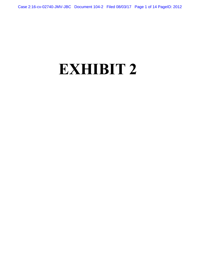## **EXHIBIT 2**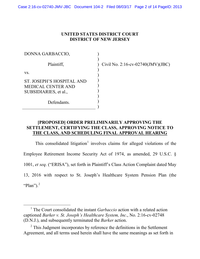## **UNITED STATES DISTRICT COURT DISTRICT OF NEW JERSEY**

| DONNA GARBACCIO,                                                                |  |
|---------------------------------------------------------------------------------|--|
| Plaintiff,                                                                      |  |
| VS.                                                                             |  |
| ST. JOSEPH'S HOSPITAL AND<br><b>MEDICAL CENTER AND</b><br>SUBSIDIARIES, et al., |  |
| Defendants.                                                                     |  |

) Civil No. 2:16-cv-02740(JMV)(JBC)

## **[PROPOSED] ORDER PRELIMINARILY APPROVING THE SETTLEMENT, CERTIFYING THE CLASS, APPROVING NOTICE TO THE CLASS, AND SCHEDULING FINAL APPROVAL HEARING**

This consolidated litigation<sup>[1](#page-1-0)</sup> involves claims for alleged violations of the Employee Retirement Income Security Act of 1974, as amended, 29 U.S.C. § 1001, *et seq*. ("ERISA"), set forth in Plaintiff's Class Action Complaint dated May 13, 2016 with respect to St. Joseph's Healthcare System Pension Plan (the "Plan"). $^2$  $^2$ 

<span id="page-1-0"></span> <sup>1</sup> The Court consolidated the instant *Garbaccio* action with a related action captioned *Barker v. St. Joseph's Healthcare System, Inc*., No. 2:16-cv-02748 (D.N.J.), and subsequently terminated the *Barker* action.

<span id="page-1-1"></span> $2$  This Judgment incorporates by reference the definitions in the Settlement Agreement, and all terms used herein shall have the same meanings as set forth in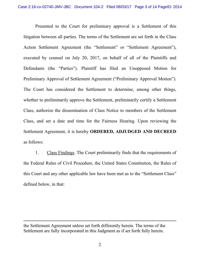Presented to the Court for preliminary approval is a Settlement of this litigation between all parties. The terms of the Settlement are set forth in the Class Action Settlement Agreement (the "Settlement" or "Settlement Agreement"), executed by counsel on July 20, 2017, on behalf of all of the Plaintiffs and Defendants (the "Parties"). Plaintiff has filed an Unopposed Motion for Preliminary Approval of Settlement Agreement ("Preliminary Approval Motion"). The Court has considered the Settlement to determine, among other things, whether to preliminarily approve the Settlement, preliminarily certify a Settlement Class, authorize the dissemination of Class Notice to members of the Settlement Class, and set a date and time for the Fairness Hearing. Upon reviewing the Settlement Agreement, it is hereby **ORDERED, ADJUDGED AND DECREED** as follows:

1. Class Findings. The Court preliminarily finds that the requirements of the Federal Rules of Civil Procedure, the United States Constitution, the Rules of this Court and any other applicable law have been met as to the "Settlement Class" defined below, in that:

 $\overline{a}$ 

the Settlement Agreement unless set forth differently herein. The terms of the Settlement are fully incorporated in this Judgment as if set forth fully herein.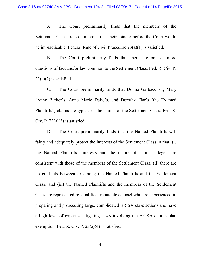A. The Court preliminarily finds that the members of the Settlement Class are so numerous that their joinder before the Court would be impracticable. Federal Rule of Civil Procedure 23(a)(1) is satisfied.

B. The Court preliminarily finds that there are one or more questions of fact and/or law common to the Settlement Class. Fed. R. Civ. P.  $23(a)(2)$  is satisfied.

C. The Court preliminarily finds that Donna Garbaccio's, Mary Lynne Barker's, Anne Marie Dalio's, and Dorothy Flar's (the "Named Plaintiffs") claims are typical of the claims of the Settlement Class. Fed. R. Civ. P.  $23(a)(3)$  is satisfied.

D. The Court preliminarily finds that the Named Plaintiffs will fairly and adequately protect the interests of the Settlement Class in that: (i) the Named Plaintiffs' interests and the nature of claims alleged are consistent with those of the members of the Settlement Class; (ii) there are no conflicts between or among the Named Plaintiffs and the Settlement Class; and (iii) the Named Plaintiffs and the members of the Settlement Class are represented by qualified, reputable counsel who are experienced in preparing and prosecuting large, complicated ERISA class actions and have a high level of expertise litigating cases involving the ERISA church plan exemption. Fed. R. Civ. P. 23(a)(4) is satisfied.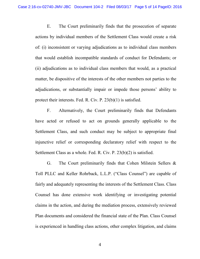E. The Court preliminarily finds that the prosecution of separate actions by individual members of the Settlement Class would create a risk of: (i) inconsistent or varying adjudications as to individual class members that would establish incompatible standards of conduct for Defendants; or (ii) adjudications as to individual class members that would, as a practical matter, be dispositive of the interests of the other members not parties to the adjudications, or substantially impair or impede those persons' ability to protect their interests. Fed. R. Civ. P. 23(b)(1) is satisfied.

F. Alternatively, the Court preliminarily finds that Defendants have acted or refused to act on grounds generally applicable to the Settlement Class, and such conduct may be subject to appropriate final injunctive relief or corresponding declaratory relief with respect to the Settlement Class as a whole. Fed. R. Civ. P. 23(b)(2) is satisfied.

G. The Court preliminarily finds that Cohen Milstein Sellers & Toll PLLC and Keller Rohrback, L.L.P. ("Class Counsel") are capable of fairly and adequately representing the interests of the Settlement Class. Class Counsel has done extensive work identifying or investigating potential claims in the action, and during the mediation process, extensively reviewed Plan documents and considered the financial state of the Plan. Class Counsel is experienced in handling class actions, other complex litigation, and claims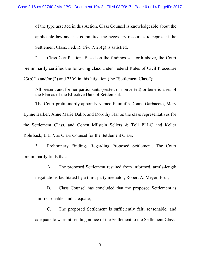of the type asserted in this Action. Class Counsel is knowledgeable about the applicable law and has committed the necessary resources to represent the Settlement Class. Fed. R. Civ. P. 23(g) is satisfied.

2. Class Certification. Based on the findings set forth above, the Court preliminarily certifies the following class under Federal Rules of Civil Procedure  $23(b)(1)$  and/or (2) and  $23(e)$  in this litigation (the "Settlement Class"):

All present and former participants (vested or nonvested) or beneficiaries of the Plan as of the Effective Date of Settlement.

The Court preliminarily appoints Named Plaintiffs Donna Garbaccio, Mary Lynne Barker, Anne Marie Dalio, and Dorothy Flar as the class representatives for the Settlement Class, and Cohen Milstein Sellers & Toll PLLC and Keller Rohrback, L.L.P. as Class Counsel for the Settlement Class.

3. Preliminary Findings Regarding Proposed Settlement. The Court preliminarily finds that:

A. The proposed Settlement resulted from informed, arm's-length

negotiations facilitated by a third-party mediator, Robert A. Meyer, Esq.;

B. Class Counsel has concluded that the proposed Settlement is fair, reasonable, and adequate;

C. The proposed Settlement is sufficiently fair, reasonable, and adequate to warrant sending notice of the Settlement to the Settlement Class.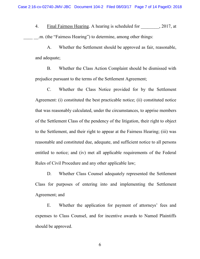4. Final Fairness Hearing. A hearing is scheduled for  $\qquad \qquad , 2017$ , at m. (the "Fairness Hearing") to determine, among other things:

A. Whether the Settlement should be approved as fair, reasonable, and adequate;

B. Whether the Class Action Complaint should be dismissed with prejudice pursuant to the terms of the Settlement Agreement;

C. Whether the Class Notice provided for by the Settlement Agreement: (i) constituted the best practicable notice; (ii) constituted notice that was reasonably calculated, under the circumstances, to apprise members of the Settlement Class of the pendency of the litigation, their right to object to the Settlement, and their right to appear at the Fairness Hearing; (iii) was reasonable and constituted due, adequate, and sufficient notice to all persons entitled to notice; and (iv) met all applicable requirements of the Federal Rules of Civil Procedure and any other applicable law;

D. Whether Class Counsel adequately represented the Settlement Class for purposes of entering into and implementing the Settlement Agreement; and

E. Whether the application for payment of attorneys' fees and expenses to Class Counsel, and for incentive awards to Named Plaintiffs should be approved.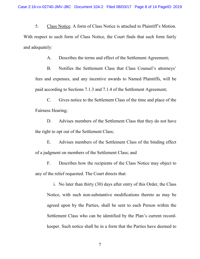5. Class Notice. A form of Class Notice is attached to Plaintiff's Motion. With respect to such form of Class Notice, the Court finds that such form fairly and adequately:

A. Describes the terms and effect of the Settlement Agreement;

B. Notifies the Settlement Class that Class Counsel's attorneys' fees and expenses, and any incentive awards to Named Plaintiffs, will be paid according to Sections 7.1.3 and 7.1.4 of the Settlement Agreement;

C. Gives notice to the Settlement Class of the time and place of the Fairness Hearing;

D. Advises members of the Settlement Class that they do not have the right to opt out of the Settlement Class;

E. Advises members of the Settlement Class of the binding effect of a judgment on members of the Settlement Class; and

F. Describes how the recipients of the Class Notice may object to any of the relief requested. The Court directs that:

i. No later than thirty (30) days after entry of this Order, the Class Notice, with such non-substantive modifications thereto as may be agreed upon by the Parties, shall be sent to each Person within the Settlement Class who can be identified by the Plan's current recordkeeper. Such notice shall be in a form that the Parties have deemed to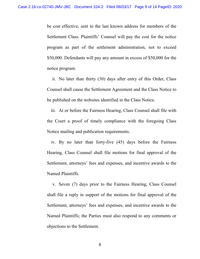be cost effective, sent to the last known address for members of the Settlement Class. Plaintiffs' Counsel will pay the cost for the notice program as part of the settlement administration, not to exceed \$50,000. Defendants will pay any amount in excess of \$50,000 for the notice program.

ii. No later than thirty (30) days after entry of this Order, Class Counsel shall cause the Settlement Agreement and the Class Notice to be published on the websites identified in the Class Notice.

iii. At or before the Fairness Hearing, Class Counsel shall file with the Court a proof of timely compliance with the foregoing Class Notice mailing and publication requirements.

iv. By no later than forty-five (45) days before the Fairness Hearing, Class Counsel shall file motions for final approval of the Settlement, attorneys' fees and expenses, and incentive awards to the Named Plaintiffs.

v. Seven (7) days prior to the Fairness Hearing, Class Counsel shall file a reply in support of the motions for final approval of the Settlement, attorneys' fees and expenses, and incentive awards to the Named Plaintiffs; the Parties must also respond to any comments or objections to the Settlement.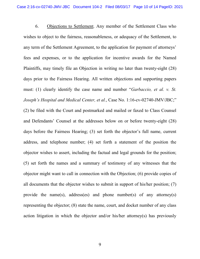6. Objections to Settlement. Any member of the Settlement Class who wishes to object to the fairness, reasonableness, or adequacy of the Settlement, to any term of the Settlement Agreement, to the application for payment of attorneys' fees and expenses, or to the application for incentive awards for the Named Plaintiffs, may timely file an Objection in writing no later than twenty-eight (28) days prior to the Fairness Hearing. All written objections and supporting papers must: (1) clearly identify the case name and number "*Garbaccio, et al. v. St. Joseph's Hospital and Medical Center, et al., Case No. 1:16-cv-02740-JMV/JBC;"* (2) be filed with the Court and postmarked and mailed or faxed to Class Counsel and Defendants' Counsel at the addresses below on or before twenty-eight (28) days before the Fairness Hearing; (3) set forth the objector's full name, current address, and telephone number; (4) set forth a statement of the position the objector wishes to assert, including the factual and legal grounds for the position; (5) set forth the names and a summary of testimony of any witnesses that the objector might want to call in connection with the Objection; (6) provide copies of all documents that the objector wishes to submit in support of his/her position; (7) provide the name(s), address(es) and phone number(s) of any attorney(s) representing the objector; (8) state the name, court, and docket number of any class action litigation in which the objector and/or his/her attorney(s) has previously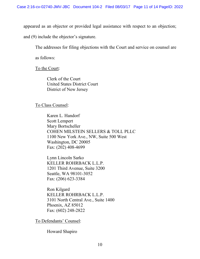appeared as an objector or provided legal assistance with respect to an objection;

and (9) include the objector's signature.

The addresses for filing objections with the Court and service on counsel are

as follows:

To the Court:

Clerk of the Court United States District Court District of New Jersey

To Class Counsel:

Karen L. Handorf Scott Lempert Mary Bortscheller COHEN MILSTEIN SELLERS & TOLL PLLC 1100 New York Ave., NW, Suite 500 West Washington, DC 20005 Fax: (202) 408-4699

Lynn Lincoln Sarko KELLER ROHRBACK L.L.P. 1201 Third Avenue, Suite 3200 Seattle, WA 98101-3052 Fax: (206) 623-3384

Ron Kilgard KELLER ROHRBACK L.L.P. 3101 North Central Ave., Suite 1400 Phoenix, AZ 85012 Fax: (602) 248-2822

To Defendants' Counsel:

Howard Shapiro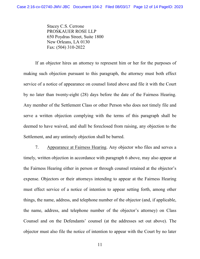Stacey C.S. Cerrone PROSKAUER ROSE LLP 650 Poydras Street, Suite 1800 New Orleans, LA 0130 Fax: (504) 310-2022

If an objector hires an attorney to represent him or her for the purposes of making such objection pursuant to this paragraph, the attorney must both effect service of a notice of appearance on counsel listed above and file it with the Court by no later than twenty-eight (28) days before the date of the Fairness Hearing. Any member of the Settlement Class or other Person who does not timely file and serve a written objection complying with the terms of this paragraph shall be deemed to have waived, and shall be foreclosed from raising, any objection to the Settlement, and any untimely objection shall be barred.

7. Appearance at Fairness Hearing. Any objector who files and serves a timely, written objection in accordance with paragraph 6 above, may also appear at the Fairness Hearing either in person or through counsel retained at the objector's expense. Objectors or their attorneys intending to appear at the Fairness Hearing must effect service of a notice of intention to appear setting forth, among other things, the name, address, and telephone number of the objector (and, if applicable, the name, address, and telephone number of the objector's attorney) on Class Counsel and on the Defendants' counsel (at the addresses set out above). The objector must also file the notice of intention to appear with the Court by no later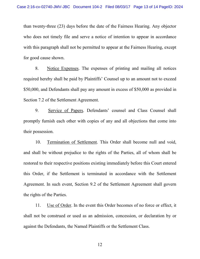than twenty-three (23) days before the date of the Fairness Hearing. Any objector who does not timely file and serve a notice of intention to appear in accordance with this paragraph shall not be permitted to appear at the Fairness Hearing, except for good cause shown.

8. Notice Expenses. The expenses of printing and mailing all notices required hereby shall be paid by Plaintiffs' Counsel up to an amount not to exceed \$50,000, and Defendants shall pay any amount in excess of \$50,000 as provided in Section 7.2 of the Settlement Agreement.

9. Service of Papers. Defendants' counsel and Class Counsel shall promptly furnish each other with copies of any and all objections that come into their possession.

10. Termination of Settlement. This Order shall become null and void, and shall be without prejudice to the rights of the Parties, all of whom shall be restored to their respective positions existing immediately before this Court entered this Order, if the Settlement is terminated in accordance with the Settlement Agreement. In such event, Section 9.2 of the Settlement Agreement shall govern the rights of the Parties.

11. Use of Order. In the event this Order becomes of no force or effect, it shall not be construed or used as an admission, concession, or declaration by or against the Defendants, the Named Plaintiffs or the Settlement Class.